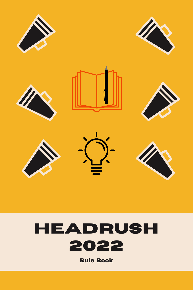















## **HEADRUSH 2022**

Rule Book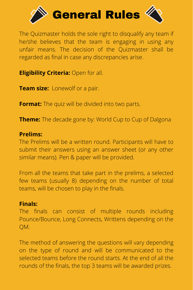

The Quizmaster holds the sole right to disqualify any team if he/she believes that the team is engaging in using any unfair means. The decision of the Quizmaster shall be regarded as final in case any discrepancies arise.

**Eligibility Criteria:** Open for all.

**Team size:** Lonewolf or a pair.

**Format:** The quiz will be divided into two parts.

**Theme:** The decade gone by: World Cup to Cup of Dalgona

## **Prelims:**

The Prelims will be a written round. Participants will have to submit their answers using an answer sheet (or any other similar means). Pen & paper will be provided.

From all the teams that take part in the prelims, a selected few teams (usually 8) depending on the number of total teams, will be chosen to play in the finals.

## **Finals:**

The finals can consist of multiple rounds including Pounce/Bounce, Long Connects, Writtens depending on the QM.

The method of answering the questions will vary depending on the type of round and will be communicated to the selected teams before the round starts. At the end of all the rounds of the finals, the top 3 teams will be awarded prizes.